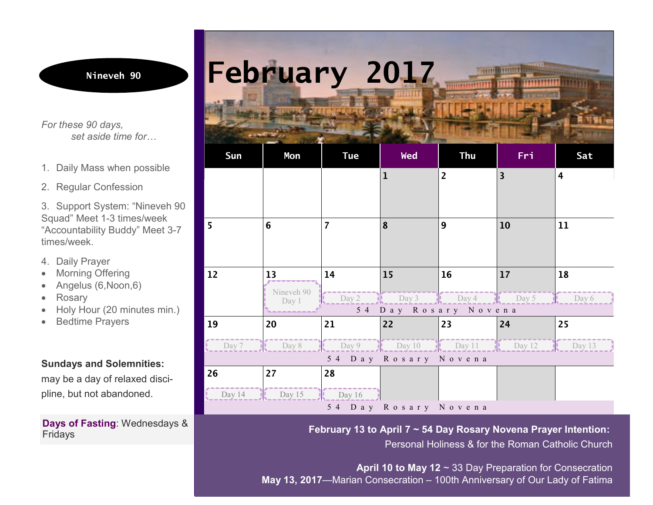*For these 90 days, set aside time for…*

- 1. Daily Mass when possible
- 2. Regular Confession

3. Support System: "Nineveh 90 Squad" Meet 1-3 times/week "Accountability Buddy" Meet 3-7 times/week.

- 4. Daily Prayer
- Morning Offering
- Angelus (6, Noon, 6)
- **Rosary**
- Holy Hour (20 minutes min.)
- · Bedtime Prayers

## **Sundays and Solemnities:**

may be a day of relaxed discipline, but not abandoned.

#### **Days of Fasting**: Wednesdays & Fridays

# **February 2017**

| Sun                  | Mon        | <b>Tue</b>     | <b>Wed</b>           | <b>Thu</b>                | Fri                     | Sat                     |  |  |  |
|----------------------|------------|----------------|----------------------|---------------------------|-------------------------|-------------------------|--|--|--|
|                      |            |                | 1                    | $\overline{2}$            | $\overline{\mathbf{3}}$ | $\overline{\mathbf{4}}$ |  |  |  |
|                      |            |                |                      |                           |                         |                         |  |  |  |
|                      |            |                |                      |                           |                         |                         |  |  |  |
| 6<br>5               |            | $\overline{7}$ | 8                    | 9                         | 10                      | 11                      |  |  |  |
|                      |            |                |                      |                           |                         |                         |  |  |  |
|                      |            |                |                      |                           |                         |                         |  |  |  |
| 12                   | 13         | 14             | 15                   | 16                        | 17                      | 18                      |  |  |  |
|                      | Nineveh 90 |                |                      |                           |                         |                         |  |  |  |
|                      | Day 1      | Day 2          | $\frac{1}{2}$ Day 3  | $\frac{1}{2}$ Day 4 Day 5 |                         | Day 6                   |  |  |  |
| 54 Day Rosary Novena |            |                |                      |                           |                         |                         |  |  |  |
| 19                   | 20         | 21             | 22                   | 23                        | 24                      | 25                      |  |  |  |
| Day 7                | Day 8      | Day 9          | $\log 10$            | $\log 11$                 | Day 12                  | Dav 13                  |  |  |  |
| 54 Day Rosary Novena |            |                |                      |                           |                         |                         |  |  |  |
| 26                   | 27         | 28             |                      |                           |                         |                         |  |  |  |
| Day 14               | Day 15     | $\ln$ Day 16   |                      |                           |                         |                         |  |  |  |
|                      |            |                | 54 Day Rosary Novena |                           |                         |                         |  |  |  |

**February 13 to April 7 ~ 54 Day Rosary Novena Prayer Intention:**

Personal Holiness & for the Roman Catholic Church

**April 10 to May 12** ~ 33 Day Preparation for Consecration **May 13, 2017**—Marian Consecration – 100th Anniversary of Our Lady of Fatima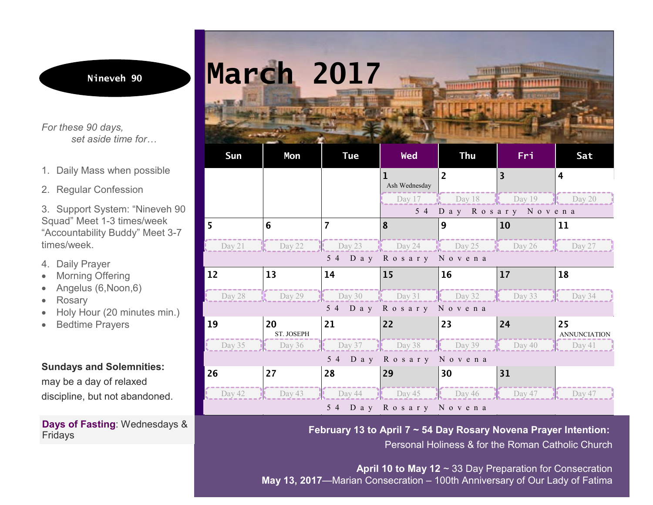*For these 90 days, set aside time for…*

- 1. Daily Mass when possible
- 2. Regular Confession

3. Support System: "Nineveh 90 Squad" Meet 1-3 times/week "Accountability Buddy" Meet 3-7 times/week.

- 4. Daily Prayer
- Morning Offering
- Angelus (6, Noon, 6)
- **Rosary**
- Holy Hour (20 minutes min.)
- **Bedtime Prayers**

#### **Sundays and Solemnities:**

may be a day of relaxed discipline, but not abandoned.

#### **Days of Fasting**: Wednesdays & Fridays



**February 13 to April 7 ~ 54 Day Rosary Novena Prayer Intention:**

Personal Holiness & for the Roman Catholic Church

**April 10 to May 12** ~ 33 Day Preparation for Consecration **May 13, 2017**—Marian Consecration – 100th Anniversary of Our Lady of Fatima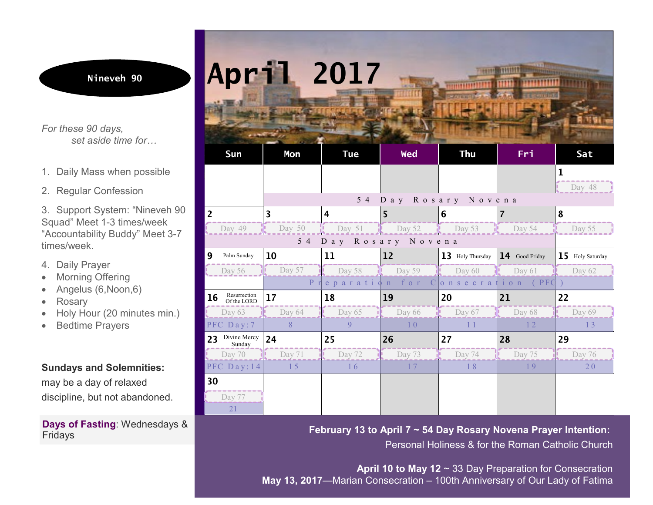*For these 90 days, set aside time for…*

- 1. Daily Mass when possible
- 2. Regular Confession

3. Support System: "Nineveh 90 Squad" Meet 1-3 times/week "Accountability Buddy" Meet 3-7 times/week.

- 4. Daily Prayer
- Morning Offering
- Angelus (6, Noon, 6)
- · Rosary
- Holy Hour (20 minutes min.)
- **Bedtime Prayers**

### **Sundays and Solemnities:**

may be a day of relaxed discipline, but not abandoned.

#### **Days of Fasting**: Wednesdays & Fridays



**February 13 to April 7 ~ 54 Day Rosary Novena Prayer Intention:** Personal Holiness & for the Roman Catholic Church

**April 10 to May 12** ~ 33 Day Preparation for Consecration **May 13, 2017**—Marian Consecration – 100th Anniversary of Our Lady of Fatima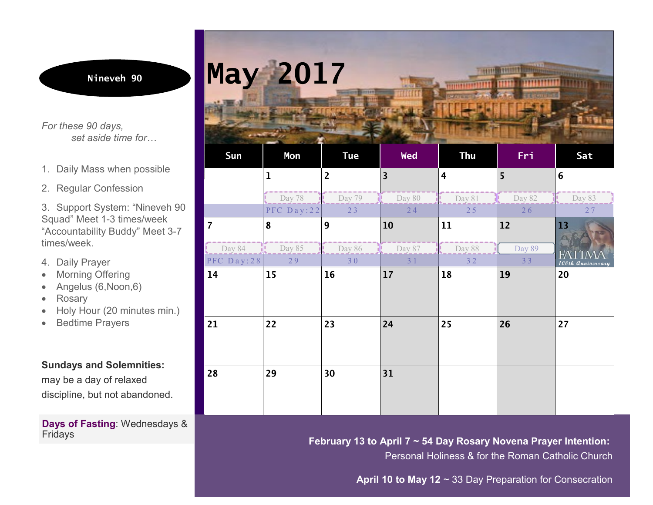*For these 90 days, set aside time for…*

- 1. Daily Mass when possible
- 2. Regular Confession

3. Support System: "Nineveh 90 Squad" Meet 1-3 times/week "Accountability Buddy" Meet 3-7 times/week.

- 4. Daily Prayer
- Morning Offering
- Angelus (6, Noon, 6)
- **Rosary**
- Holy Hour (20 minutes min.)
- · Bedtime Prayers

**Sundays and Solemnities:**

may be a day of relaxed discipline, but not abandoned.

**Days of Fasting**: Wednesdays & Fridays



|                | Day 78      | Day 79 | Day 80         | Day 81 | Day 82 | Day 83            |
|----------------|-------------|--------|----------------|--------|--------|-------------------|
|                | PFC Day: 22 | 23     | 24             | 25     | 26     | 27                |
| $\overline{7}$ | 8           | 9      | 10             | 11     | 12     | 13                |
|                |             |        |                |        |        |                   |
| Day 84         | Day 85      | Day 86 | Day 87         | Day 88 | Day 89 | FА                |
| PFC Day: 28    | 29          | 30     | 3 <sub>1</sub> | 32     | 33     | 100th Anniversary |
| 14             | 15          | 16     | 17             | 18     | 19     | 20                |
|                |             |        |                |        |        |                   |
|                |             |        |                |        |        |                   |
|                |             |        |                |        |        |                   |
| 21             | 22          | 23     | 24             | 25     | 26     | 27                |
|                |             |        |                |        |        |                   |
|                |             |        |                |        |        |                   |
|                |             |        |                |        |        |                   |
| 28             | 29          | 30     | 31             |        |        |                   |
|                |             |        |                |        |        |                   |
|                |             |        |                |        |        |                   |
|                |             |        |                |        |        |                   |

**February 13 to April 7 ~ 54 Day Rosary Novena Prayer Intention:**

Personal Holiness & for the Roman Catholic Church

**April 10 to May 12** ~ 33 Day Preparation for Consecration